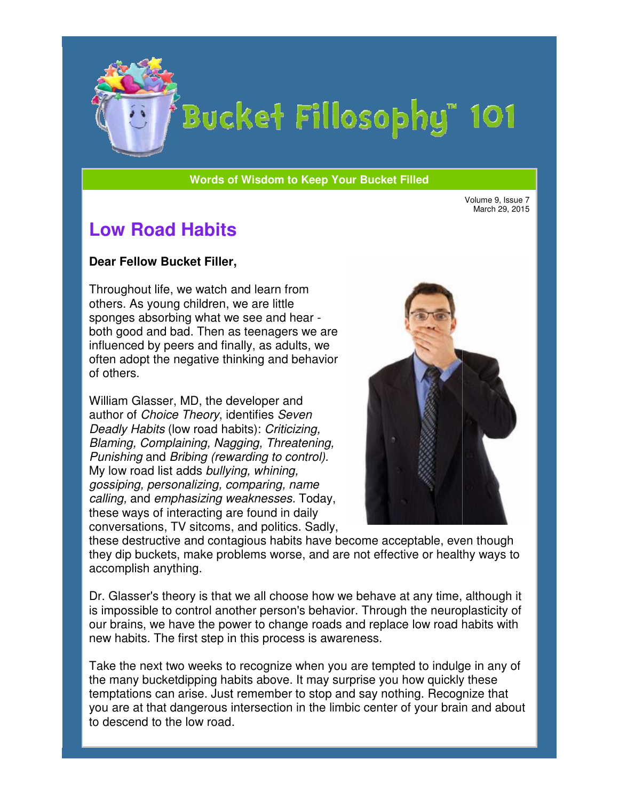

# Bucket Fillosophy" 101

#### **Words of Wisdom to Keep Your Bucket Filled Wisdom**

March 29, 2015

## **Low Road Habits**

#### **Dear Fellow Bucket Filler Filler,**

Throughout life, we watch and learn from others. As young children, we are little sponges absorbing what we see and hear both good and bad. Then as teenagers we are influenced by peers and finally, as adults, we often adopt the negative thinking and behavior of others. often adopt the negative thinking and bel<br>of others.<br>William Glasser, MD, the developer and

author of Choice Theory, identifies Seven Deadly Habits (low road habits): Criticizing, Blaming, Complaining, Nagging, Threatening, Punishing and Bribing (rewarding to control). My low road list adds bullying, whining, gossiping, personalizing, comparing, name calling, and emphasizing weaknesses. Today, these ways of interacting are found in daily conversations, TV sitcoms, and politics. Sadly,



these destructive and contagious habits have become acceptable, even though they dip buckets, make problems worse, and are not effective or healthy ways to accomplish anything.

Dr. Glasser's theory is that we all choose how we behave at any time, although it is impossible to control another person's behavior. Through the neuroplasticity of our brains, we have the power to change roads and replace low road habits with new habits. The first step in this process is awareness. is ways of interacting are found in daily<br>versations, TV sitcoms, and politics. Sadly,<br>se destructive and contagious habits have become acceptable, even though<br> $y$  dip buckets, make problems worse, and are not effective or

Take the next two weeks to recognize when you are tempted to indulge in any of the many bucketdipping habits above. It may surprise you how quickly these temptations can arise. Just remember to stop and say nothing. Recognize that you are at that dangerous intersection in the limbic center of your brain and about to descend to the low road.